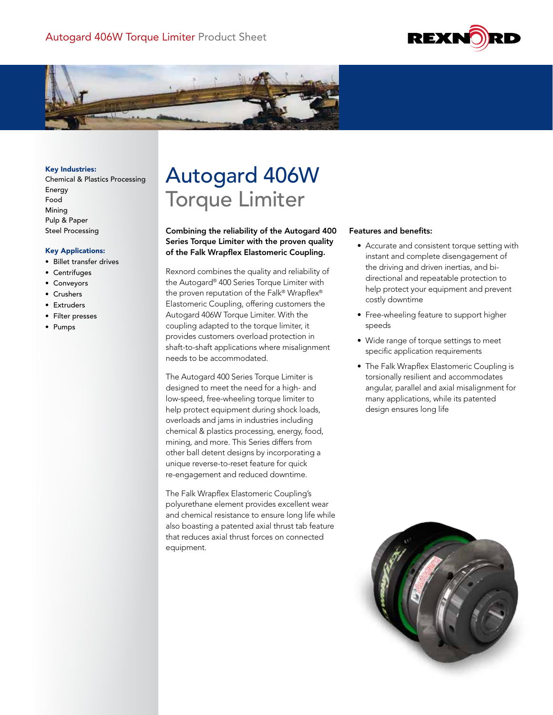



### Key Industries:

Chemical & Plastics Processing Energy Food Mining Pulp & Paper Steel Processing

#### Key Applications:

- Billet transfer drives
- Centrifuges
- Conveyors
- Crushers
- Extruders
- Filter presses
- Pumps

# Autogard 406W Torque Limiter

Combining the reliability of the Autogard 400 Series Torque Limiter with the proven quality of the Falk Wrapflex Elastomeric Coupling.

Rexnord combines the quality and reliability of the Autogard® 400 Series Torque Limiter with the proven reputation of the Falk® Wrapflex® Elastomeric Coupling, offering customers the Autogard 406W Torque Limiter. With the coupling adapted to the torque limiter, it provides customers overload protection in shaft-to-shaft applications where misalignment needs to be accommodated.

The Autogard 400 Series Torque Limiter is designed to meet the need for a high- and low-speed, free-wheeling torque limiter to help protect equipment during shock loads, overloads and jams in industries including chemical & plastics processing, energy, food, mining, and more. This Series differs from other ball detent designs by incorporating a unique reverse-to-reset feature for quick re-engagement and reduced downtime.

The Falk Wrapflex Elastomeric Coupling's polyurethane element provides excellent wear and chemical resistance to ensure long life while also boasting a patented axial thrust tab feature that reduces axial thrust forces on connected equipment.

### Features and benefits:

- Accurate and consistent torque setting with instant and complete disengagement of the driving and driven inertias, and bidirectional and repeatable protection to help protect your equipment and prevent costly downtime
- Free-wheeling feature to support higher speeds
- Wide range of torque settings to meet specific application requirements
- The Falk Wrapflex Elastomeric Coupling is torsionally resilient and accommodates angular, parallel and axial misalignment for many applications, while its patented design ensures long life